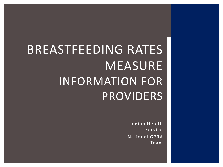# BREASTFEEDING RATES MEASURE INFORMATION FOR PROVIDERS

Indian Health Service National GPRA Team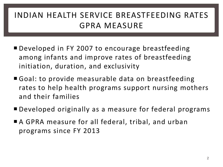### INDIAN HEALTH SERVICE BREASTFEEDING RATES GPRA MEASURE

- Developed in FY 2007 to encourage breastfeeding among infants and improve rates of breastfeeding initiation, duration, and exclusivity
- Goal: to provide measurable data on breastfeeding rates to help health programs support nursing mothers and their families
- Developed originally as a measure for federal programs
- A GPRA measure for all federal, tribal, and urban programs since FY 2013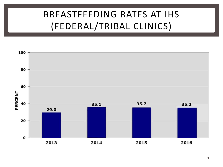# BREASTFEEDING RATES AT IHS (FEDERAL/TRIBAL CLINICS)

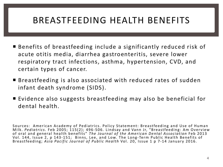### BREASTFEEDING HEALTH BENEFITS

- Benefits of breastfeeding include a significantly reduced risk of acute otitis media, diarrhea gastroenteritis, severe lower respiratory tract infections, asthma, hypertension, CVD, and certain types of cancer.
- Breastfeeding is also associated with reduced rates of sudden infant death syndrome (SIDS).
- Evidence also suggests breastfeeding may also be beneficial for dental health.

Sources: American Academy of Pediatrics. Policy Statement: Breastfeeding and Use of Human Milk. *Pediatrics.* Feb 2005; 115(2); 496-506. Lindsay and Vann Jr, "Breastfeeding: Am Overview of oral and general health benefits" *The Journal of the American Dental Association* Feb 2013 Vol. 144, Issue 2, p 143-151; Binns, Lee, and Low. The Long-Term Public Health Benefits of Breastfeeding; *Asia Pacific Journal of Public Health* Vol. 20, Issue 1 p 7-14 January 2016.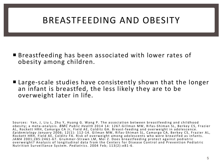### BREASTFEEDING AND OBESITY

- Breastfeeding has been associated with lower rates of obesity among children.
- Large-scale studies have consistently shown that the longer an infant is breastfed, the less likely they are to be overweight later in life.

Sources: Yan, J, Liu L, Zhu Y, Huang G. Wang P. The association between breastfeeding and childhood obesity; a meta - analysis. *BMC Public Health* 2014 14: 1267.Gillman MW, Rifas- Shiman SL, Berkey CS, Frazier AL, Rockett HRH, Camargo CA Jr, Field AE, Colditz GA. Breast-feeding and overweight in adolescence. *Epidemiology January* 2006; 12(1): 112 - 14. Gilman MW, Rifas- Shiman SL, Camargo CA, Berkey CS, Frazier AL, Rockett HRH, Field AE, Colditz FA. Risk of overweight among adolescents who were breastfed as infants. JAMA 2001;285:2461-67. Grummer-Strawn LM, Mei Z. Does breastfeeding protect against pediatric overweight? Analysis of longitudinal data from the Centers for Disease Control and Prevention Pediatric Nutrition Surveillance System. *Pediatrics*. 2004 Feb; 113(2):e81-6.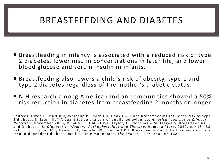### BREASTFEEDING AND DIABETES

- Breastfeeding in infancy is associated with a reduced risk of type 2 diabetes, lower insulin concentrations in later life, and lower blood glucose and serum insulin in infants.
- Breastfeeding also lowers a child's risk of obesity, type 1 and type 2 diabetes regardless of the mother's diabetic status.
- NIH research among American Indian communities showed a 50% risk reduction in diabetes from breastfeeding 2 months or longer.

Sources: Owen C. Martin R, Whincup P, Smith GD, Cook DG. Does breastfeeding influence risk of type 2 diabetes in later life? A quantitative analysis of published evidence. *American Journal of Clinical Nutrition*. November 2006, V. 84 N. 5, 1043-1054. Taylor, JS. Nothnagle M. Magee S. Breastfeeding and Diabetes" *in Diabetes in Women.: Pathophysiology and Therapy* . Humana Press, 2010, p. 415-433. Pettitt DJ, Forman MR, Hanson RL, Knowler WC, Bennett PH. Breastfeeding and the Incidence of non-<br>insulin-dependent diabetes mellitus in Pima Indians. *The Lancet*. 1997; 350:166-168.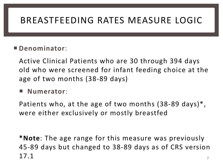# BREASTFEEDING RATES MEASURE LOGIC

#### **Denominator**:

Active Clinical Patients who are 30 through 394 days old who were screened for infant feeding choice at the age of two months (38-89 days)

**Numerator**:

Patients who, at the age of two months (38-89 days)\*, were either exclusively or mostly breastfed

**\*Note**: The age range for this measure was previously 45-89 days but changed to 38-89 days as of CRS version  $17.1$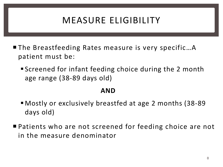# MEASURE ELIGIBILITY

- The Breastfeeding Rates measure is very specific...A patient must be:
	- Screened for infant feeding choice during the 2 month age range (38-89 days old)

#### **AND**

- Mostly or exclusively breastfed at age 2 months (38-89 days old)
- Patients who are not screened for feeding choice are not in the measure denominator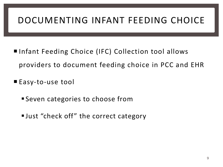# DOCUMENTING INFANT FEEDING CHOICE

- Infant Feeding Choice (IFC) Collection tool allows providers to document feeding choice in PCC and EHR
- Easy-to-use tool
	- Seven categories to choose from
	- Uust "check off" the correct category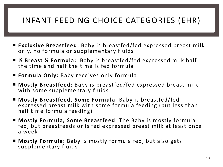### INFANT FEEDING CHOICE CATEGORIES (EHR)

- **Exclusive Breastfeed:** Baby is breastfed/fed expressed breast milk only, no formula or supplementary fluids
- **½ Breast ½ Formula:** Baby is breastfed/fed expressed milk half the time and half the time is fed formula
- **Formula Only:** Baby receives only formula
- **Mostly Breastfeed**: Baby is breastfed/fed expressed breast milk, with some supplementary fluids
- **Mostly Breastfeed, Some Formula**: Baby is breastfed/fed expressed breast milk with some formula feeding (but less than half time formula feeding)
- **Mostly Formula, Some Breastfeed**: The Baby is mostly formula fed, but breastfeeds or is fed expressed breast milk at least once a week
- **Mostly Formula:** Baby is mostly formula fed, but also gets supplementary fluids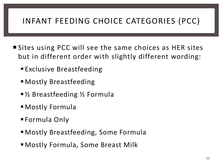### INFANT FEEDING CHOICE CATEGORIES (PCC)

- Sites using PCC will see the same choices as HER sites but in different order with slightly different wording:
	- **Exclusive Breastfeeding**
	- Mostly Breastfeeding
	- ½ Breastfeeding ½ Formula
	- Mostly Formula
	- Formula Only
	- Mostly Breastfeeding, Some Formula
	- Mostly Formula, Some Breast Milk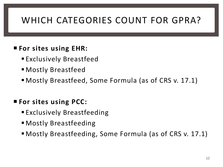# WHICH CATEGORIES COUNT FOR GPRA?

#### **For sites using EHR:**

- Exclusively Breastfeed
- Mostly Breastfeed
- Mostly Breastfeed, Some Formula (as of CRS v. 17.1)

#### **For sites using PCC:**

- **Exclusively Breastfeeding**
- Mostly Breastfeeding
- Mostly Breastfeeding, Some Formula (as of CRS v. 17.1)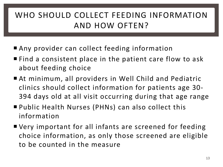### WHO SHOULD COLLECT FEEDING INFORMATION AND HOW OFTEN?

- Any provider can collect feeding information
- Find a consistent place in the patient care flow to ask about feeding choice
- At minimum, all providers in Well Child and Pediatric clinics should collect information for patients age 30- 394 days old at all visit occurring during that age range
- Public Health Nurses (PHNs) can also collect this information
- Very important for all infants are screened for feeding choice information, as only those screened are eligible to be counted in the measure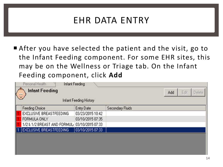### EHR DATA ENTRY

After you have selected the patient and the visit, go to the Infant Feeding component. For some EHR sites, this may be on the Wellness or Triage tab. On the Infant Feeding component, click **Add**

| Infant Feeding<br>Personal Health<br><b>Infant Feeding</b><br>Edit<br>Delete<br>Add<br>$\ddot{\phantom{1}}$<br>Infant Feeding History |                                              |                  |                         |  |  |  |  |  |
|---------------------------------------------------------------------------------------------------------------------------------------|----------------------------------------------|------------------|-------------------------|--|--|--|--|--|
|                                                                                                                                       | <b>Feeding Choice</b>                        | Entry Date       | <b>Secondary Fluids</b> |  |  |  |  |  |
|                                                                                                                                       | EXCLUSIVE BREASTFEEDING                      | 03/23/2015 10:42 |                         |  |  |  |  |  |
|                                                                                                                                       | FORMULA ONLY                                 | 03/10/2015 07:35 |                         |  |  |  |  |  |
|                                                                                                                                       | 1/2 & 1/2 BREAST AND FORMUL 03/10/2015 07:33 |                  |                         |  |  |  |  |  |
|                                                                                                                                       | EXCLUSIVE BREASTFEEDING                      | 03/10/2015 07:33 |                         |  |  |  |  |  |
|                                                                                                                                       |                                              |                  |                         |  |  |  |  |  |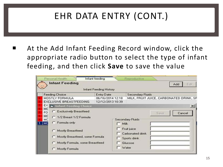# EHR DATA ENTRY (CONT.)

 At the Add Infant Feeding Record window, click the appropriate radio button to select the type of infant feeding, and then click **Save** to save the value

| Personal Health<br><b>Infant Feeding</b>                                                                                                                                                                                    | Infant feeding<br><b>Infant Feeding History</b> |                     | <b>Reproductive</b>                                                                   |                  | Add | Ed?    |
|-----------------------------------------------------------------------------------------------------------------------------------------------------------------------------------------------------------------------------|-------------------------------------------------|---------------------|---------------------------------------------------------------------------------------|------------------|-----|--------|
| <b>Feeding Choice</b>                                                                                                                                                                                                       |                                                 | <b>Entry Date</b>   |                                                                                       | Secondary Fluids |     |        |
| MOSTLY FORMULA<br>EXCLUSIVE BREASTFEEDING                                                                                                                                                                                   | 06/16/2014 12:18<br>12/12/2013 10:39            |                     | MILK, FRUIT JUICE, CARBONATED DRINK, SF                                               |                  |     |        |
| мс<br>C Exclusively Breastfeed<br>FO.<br>MC<br>C 1/2 Breast 1/2 Formula<br>мc<br>C Formula only<br>MC<br><b>Mostly Breastfeed</b><br>Mostly Breastfeed, some Formula<br>C Mostly Formula, some Breastfeed<br>Mostly Formula |                                                 | $\Box$ Mik<br>Water | <b>Secondary Fluids</b><br>Fruit juice<br>Carbonated drink<br>Sports drink<br>Glucose | Save             |     | Cancel |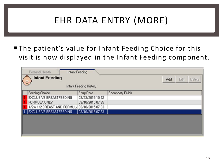# EHR DATA ENTRY (MORE)

■ The patient's value for Infant Feeding Choice for this visit is now displayed in the Infant Feeding component.

| <b>Infant Feeding</b><br>Personal Health<br><b>Infant Feeding</b><br>Edit<br>Delete<br>Add<br>$\ddot{\phantom{1}}$<br><b>Infant Feeding History</b> |                                              |                  |                         |  |  |  |  |  |
|-----------------------------------------------------------------------------------------------------------------------------------------------------|----------------------------------------------|------------------|-------------------------|--|--|--|--|--|
| ı                                                                                                                                                   | Feeding Choice                               | Entry Date       | <b>Secondary Fluids</b> |  |  |  |  |  |
|                                                                                                                                                     | EXCLUSIVE BREASTFEEDING                      | 03/23/2015 10:42 |                         |  |  |  |  |  |
|                                                                                                                                                     | FORMULA ONLY                                 | 03/10/2015 07:35 |                         |  |  |  |  |  |
|                                                                                                                                                     | 1/2 & 1/2 BREAST AND FORMUL 03/10/2015 07:33 |                  |                         |  |  |  |  |  |
|                                                                                                                                                     | <b>EXCLUSIVE BREASTFEEDING</b>               | 03/10/2015 07:33 |                         |  |  |  |  |  |
|                                                                                                                                                     |                                              |                  |                         |  |  |  |  |  |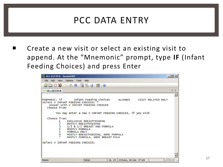### PCC DATA ENTRY

 Create a new visit or select an existing visit to append. At the "Mnemonic" prompt, type **IF** (Infant Feeding Choices) and press Enter

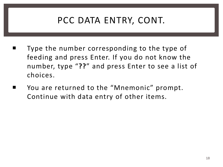# PCC DATA ENTRY, CONT.

- Type the number corresponding to the type of feeding and press Enter. If you do not know the number, type "**??**" and press Enter to see a list of choices.
- You are returned to the "Mnemonic" prompt. Continue with data entry of other items.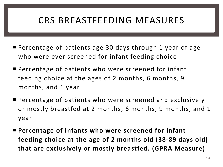### CRS BREASTFEEDING MEASURES

- Percentage of patients age 30 days through 1 year of age who were ever screened for infant feeding choice
- **Percentage of patients who were screened for infant** feeding choice at the ages of 2 months, 6 months, 9 months, and 1 year
- **Percentage of patients who were screened and exclusively** or mostly breastfed at 2 months, 6 months, 9 months, and 1 year
- **Percentage of infants who were screened for infant feeding choice at the age of 2 months old (38-89 days old) that are exclusively or mostly breastfed. (GPRA Measure)**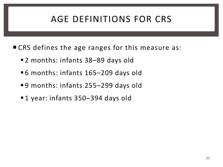# AGE DEFINITIONS FOR CRS

- CRS defines the age ranges for this measure as:
	- ■2 months: infants 38–89 days old
	- ■6 months: infants 165–209 days old
	- ■9 months: infants 255–299 days old
	- ■1 year: infants 350–394 days old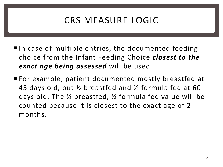# CRS MEASURE LOGIC

- $\blacksquare$  In case of multiple entries, the documented feeding choice from the Infant Feeding Choice *closest to the exact age being assessed* will be used
- For example, patient documented mostly breastfed at 45 days old, but ½ breastfed and ½ formula fed at 60 days old. The ½ breastfed, ½ formula fed value will be counted because it is closest to the exact age of 2 months.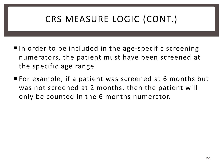# CRS MEASURE LOGIC (CONT.)

- $\blacksquare$  In order to be included in the age-specific screening numerators, the patient must have been screened at the specific age range
- For example, if a patient was screened at 6 months but was not screened at 2 months, then the patient will only be counted in the 6 months numerator.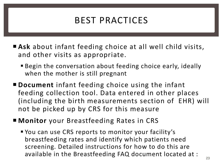## BEST PRACTICES

- **Ask** about infant feeding choice at all well child visits, and other visits as appropriate.
	- Begin the conversation about feeding choice early, ideally when the mother is still pregnant
- **Document** infant feeding choice using the infant feeding collection tool. Data entered in other places (including the birth measurements section of EHR) will not be picked up by CRS for this measure
- **Monitor** your Breastfeeding Rates in CRS
	- You can use CRS reports to monitor your facility's breastfeeding rates and identify which patients need screening. Detailed instructions for how to do this are available in the Breastfeeding FAQ document located at :  $\frac{23}{23}$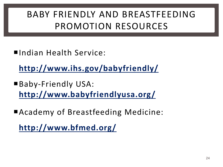# BABY FRIENDLY AND BREASTFEEDING PROMOTION RESOURCES

■Indian Health Service:

**<http://www.ihs.gov/babyfriendly/>**

- Baby-Friendly USA: **<http://www.babyfriendlyusa.org/>**
- Academy of Breastfeeding Medicine:

**<http://www.bfmed.org/>**